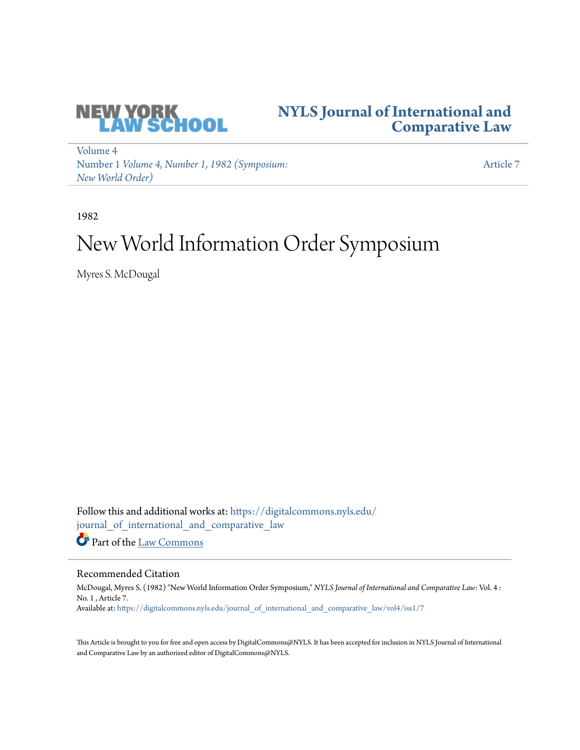

# **[NYLS Journal of International and](https://digitalcommons.nyls.edu/journal_of_international_and_comparative_law?utm_source=digitalcommons.nyls.edu%2Fjournal_of_international_and_comparative_law%2Fvol4%2Fiss1%2F7&utm_medium=PDF&utm_campaign=PDFCoverPages) [Comparative Law](https://digitalcommons.nyls.edu/journal_of_international_and_comparative_law?utm_source=digitalcommons.nyls.edu%2Fjournal_of_international_and_comparative_law%2Fvol4%2Fiss1%2F7&utm_medium=PDF&utm_campaign=PDFCoverPages)**

[Volume 4](https://digitalcommons.nyls.edu/journal_of_international_and_comparative_law/vol4?utm_source=digitalcommons.nyls.edu%2Fjournal_of_international_and_comparative_law%2Fvol4%2Fiss1%2F7&utm_medium=PDF&utm_campaign=PDFCoverPages) Number 1 *[Volume 4, Number 1, 1982 \(Symposium:](https://digitalcommons.nyls.edu/journal_of_international_and_comparative_law/vol4/iss1?utm_source=digitalcommons.nyls.edu%2Fjournal_of_international_and_comparative_law%2Fvol4%2Fiss1%2F7&utm_medium=PDF&utm_campaign=PDFCoverPages) [New World Order\)](https://digitalcommons.nyls.edu/journal_of_international_and_comparative_law/vol4/iss1?utm_source=digitalcommons.nyls.edu%2Fjournal_of_international_and_comparative_law%2Fvol4%2Fiss1%2F7&utm_medium=PDF&utm_campaign=PDFCoverPages)*

[Article 7](https://digitalcommons.nyls.edu/journal_of_international_and_comparative_law/vol4/iss1/7?utm_source=digitalcommons.nyls.edu%2Fjournal_of_international_and_comparative_law%2Fvol4%2Fiss1%2F7&utm_medium=PDF&utm_campaign=PDFCoverPages)

1982

# New World Information Order Symposium

Myres S. McDougal

Follow this and additional works at: [https://digitalcommons.nyls.edu/](https://digitalcommons.nyls.edu/journal_of_international_and_comparative_law?utm_source=digitalcommons.nyls.edu%2Fjournal_of_international_and_comparative_law%2Fvol4%2Fiss1%2F7&utm_medium=PDF&utm_campaign=PDFCoverPages) [journal\\_of\\_international\\_and\\_comparative\\_law](https://digitalcommons.nyls.edu/journal_of_international_and_comparative_law?utm_source=digitalcommons.nyls.edu%2Fjournal_of_international_and_comparative_law%2Fvol4%2Fiss1%2F7&utm_medium=PDF&utm_campaign=PDFCoverPages) Part of the [Law Commons](http://network.bepress.com/hgg/discipline/578?utm_source=digitalcommons.nyls.edu%2Fjournal_of_international_and_comparative_law%2Fvol4%2Fiss1%2F7&utm_medium=PDF&utm_campaign=PDFCoverPages)

## Recommended Citation

McDougal, Myres S. (1982) "New World Information Order Symposium," *NYLS Journal of International and Comparative Law*: Vol. 4 : No. 1 , Article 7. Available at: [https://digitalcommons.nyls.edu/journal\\_of\\_international\\_and\\_comparative\\_law/vol4/iss1/7](https://digitalcommons.nyls.edu/journal_of_international_and_comparative_law/vol4/iss1/7?utm_source=digitalcommons.nyls.edu%2Fjournal_of_international_and_comparative_law%2Fvol4%2Fiss1%2F7&utm_medium=PDF&utm_campaign=PDFCoverPages)

This Article is brought to you for free and open access by DigitalCommons@NYLS. It has been accepted for inclusion in NYLS Journal of International and Comparative Law by an authorized editor of DigitalCommons@NYLS.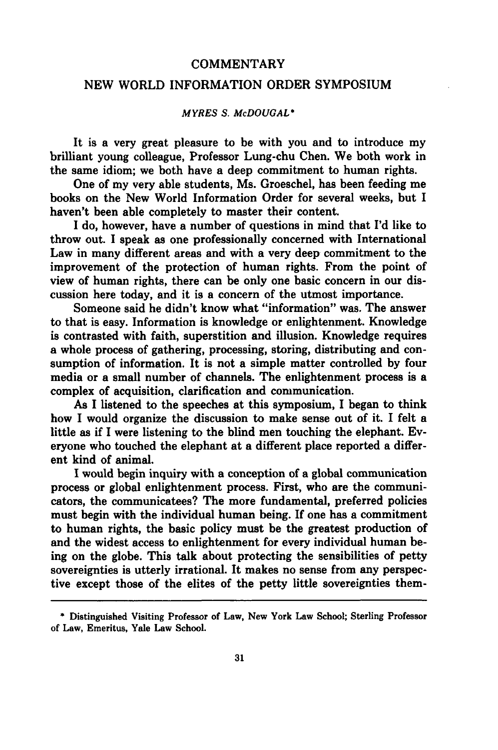#### **COMMENTARY**

## NEW WORLD INFORMATION ORDER SYMPOSIUM

#### *MYRES S. McDOUGAL\**

It is a very great pleasure to be with you and to introduce my brilliant young colleague, Professor Lung-chu Chen. We both work in the same idiom; we both have a deep commitment to human rights.

One of my very able students, Ms. Groeschel, has been feeding me books on the New World Information Order for several weeks, but I haven't been able completely to master their content.

I do, however, have a number of questions in mind that I'd like to throw out. I speak as one professionally concerned with International Law in many different areas and with a very deep commitment to the improvement of the protection of human rights. From the point of view of human rights, there can **be** only one basic concern in our discussion here today, and it is a concern of the utmost importance.

Someone said he didn't know what "information" was. The answer to that is easy. Information is knowledge or enlightenment. Knowledge is contrasted with faith, superstition and illusion. Knowledge requires a whole process of gathering, processing, storing, distributing and consumption of information. It is not a simple matter controlled **by** four media or a small number of channels. The enlightenment process is a complex of acquisition, clarification and communication.

As I listened to the speeches at this symposium, I began to think how I would organize the discussion to make sense out of it. I felt a little as if **I** were listening to the blind men touching the elephant. Everyone who touched the elephant at a different place reported a different kind of animal.

**I** would begin inquiry with a conception of a global communication process or global enlightenment process. First, who are the communicators, the communicatees? The more fundamental, preferred policies must begin with the individual human being. If one has a commitment to human rights, the basic policy must be the greatest production of and the widest access to enlightenment for every individual human being on the globe. This talk about protecting the sensibilities of petty sovereignties is utterly irrational. It makes no sense from any perspective except those of the elites of the petty little sovereignties them-

**<sup>\*</sup>** Distinguished Visiting Professor of Law, New York Law School; Sterling Professor **of** Law, Emeritus, Yale Law School.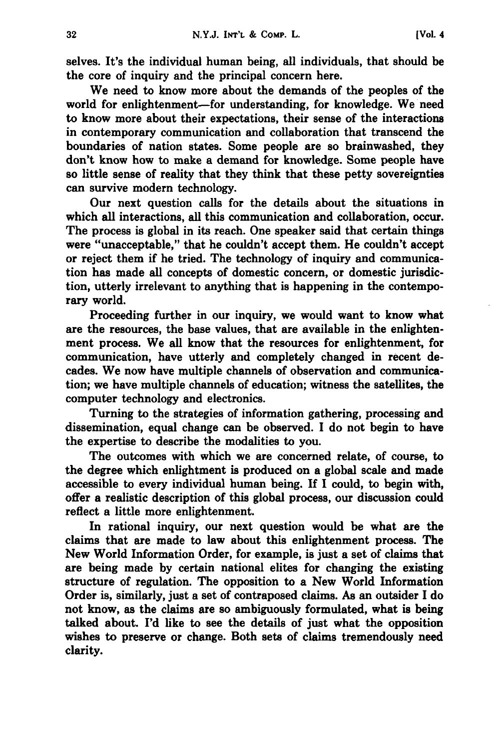selves. It's the individual human being, all individuals, that should be the core of inquiry and the principal concern here.

We need to know more about the demands of the peoples of the world for enlightenment-for understanding, for knowledge. We need to know more about their expectations, their sense of the interactions in contemporary communication and collaboration that transcend the boundaries of nation states. Some people are so brainwashed, they don't know how to make a demand for knowledge. Some people have so little sense of reality that they think that these petty sovereignties can survive modern technology.

Our next question calls for the details about the situations in which all interactions, all this communication and collaboration, occur. The process is global in its reach. One speaker said that certain things were "unacceptable," that he couldn't accept them. He couldn't accept or reject them if he tried. The technology of inquiry and communication has made all concepts of domestic concern, or domestic jurisdiction, utterly irrelevant to anything that is happening in the contemporary world.

Proceeding further in our inquiry, we would want to know what are the resources, the base values, that are available in the enlightenment process. We all know that the resources for enlightenment, for communication, have utterly and completely changed in recent decades. We now have multiple channels of observation and communication; we have multiple channels of education; witness the satellites, the computer technology and electronics.

Turning to the strategies of information gathering, processing and dissemination, equal change can be observed. **I** do not begin to have the expertise to describe the modalities to you.

The outcomes with which we are concerned relate, of course, to the degree which enlightment is produced on a global scale and made accessible to every individual human being. **If I** could, to begin with, offer a realistic description of this global process, our discussion could reflect a little more enlightenment.

In rational inquiry, our next question would be what are the claims that are made to law about this enlightenment process. The New World Information Order, for example, is just a set of claims that are being made **by** certain national elites for changing the existing structure of regulation. The opposition to a New World Information Order is, similarly, just a set of contraposed claims. As an outsider I do not know, as the claims are so ambiguously formulated, what is being talked about. I'd like to see the details of just what the opposition wishes to preserve or change. Both sets of claims tremendously need clarity.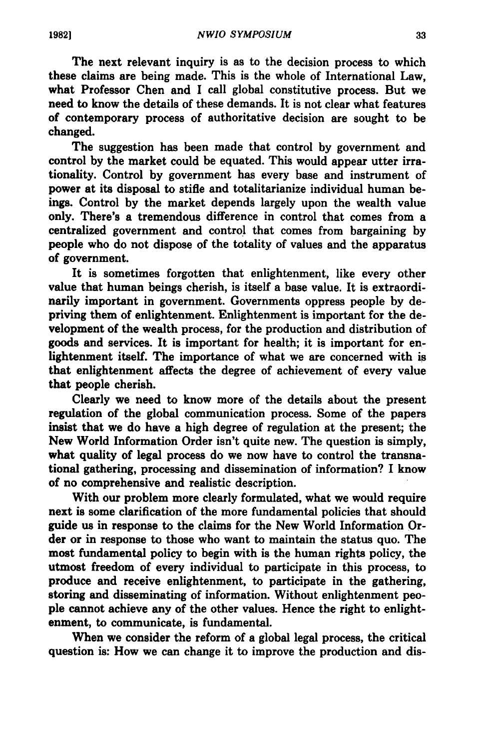The next relevant inquiry is as to the decision process to which these claims are being made. This is the whole of International Law, what Professor Chen and **I** call global constitutive process. But we need to know the details of these demands. It is not clear what features of contemporary process of authoritative decision are sought to be changed.

The suggestion has been made that control **by** government and control **by** the market could be equated. This would appear utter irrationality. Control **by** government has every base and instrument of power at its disposal to stifle and totalitarianize individual human beings. Control **by** the market depends largely upon the wealth value only. There's a tremendous difference in control that comes from a centralized government and control that comes from bargaining **by** people who do not dispose of the totality of values and the apparatus of government.

It is sometimes forgotten that enlightenment, like every other value that human beings cherish, is itself a base value. It is extraordinarily important in government. Governments oppress people **by** depriving them of enlightenment. Enlightenment is important for the development of the wealth process, for the production and distribution of goods and services. It is important for health; it is important for enlightenment itself. The importance of what we are concerned with is that enlightenment affects the degree of achievement of every value that people cherish.

Clearly we need to know more of the details about the present regulation of the global communication process. Some of the papers insist that we do have a high degree of regulation at the present; the New World Information Order isn't quite new. The question is simply, what quality of legal process do we now have to control the transnational gathering, processing and dissemination of information? I know of no comprehensive and realistic description.

With our problem more clearly formulated, what we would require next is some clarification of the more fundamental policies that should guide us in response to the claims for the New World Information Order or in response to those who want to maintain the status quo. The most fundamental policy to begin with is the human rights policy, the utmost freedom of every individual to participate in this process, to produce and receive enlightenment, to participate in the gathering, storing and disseminating of information. Without enlightenment people cannot achieve any of the other values. Hence the right to enlightenment, to communicate, is fundamental.

When we consider the reform of a global legal process, the critical question is: How we can change it to improve the production and dis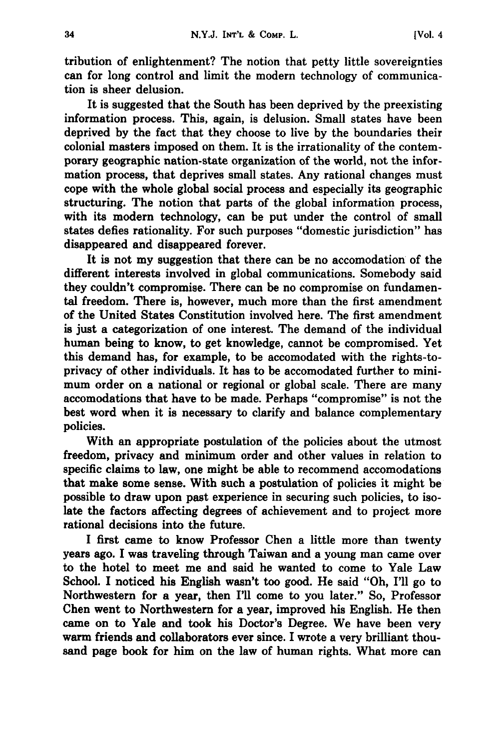tribution of enlightenment? The notion that petty little sovereignties can for long control and limit the modern technology of communication is sheer delusion.

It is suggested that the South has been deprived **by** the preexisting information process. This, again, is delusion. Small states have been deprived **by** the fact that they choose to live **by** the boundaries their colonial masters imposed on them. It is the irrationality of the contemporary geographic nation-state organization of the world, not the information process, that deprives small states. Any rational changes must cope with the whole global social process and especially its geographic structuring. The notion that parts of the global information process, with its modern technology, can be put under the control of small states defies rationality. For such purposes "domestic jurisdiction" has disappeared and disappeared forever.

It is not my suggestion that there can be no accomodation of the different interests involved in global communications. Somebody said they couldn't compromise. There can be no compromise on fundamental freedom. There is, however, much more than the first amendment of the United States Constitution involved here. The first amendment is just a categorization of one interest. The demand of the individual human being to know, to get knowledge, cannot be compromised. Yet this demand has, for example, to be accomodated with the rights-toprivacy of other individuals. It has to be accomodated further to minimum order on a national or regional or global scale. There are many accomodations that have to be made. Perhaps "compromise" is not the best word when it is necessary to clarify and balance complementary policies.

With an appropriate postulation of the policies about the utmost freedom, privacy and minimum order and other values in relation to specific claims to law, one might be able to recommend accomodations that make some sense. With such a postulation of policies it might be possible to draw upon past experience in securing such policies, to isolate the factors affecting degrees of achievement and to project more rational decisions into the future.

I first came to know Professor Chen a little more than twenty years ago. **I** was traveling through Taiwan and a young man came over to the hotel to meet me and said he wanted to come to Yale Law School. **I** noticed his English wasn't too good. He said "Oh, I'll go to Northwestern for a year, then I'll come to you later." So, Professor Chen went to Northwestern for a year, improved his English. He then came on to Yale and took his Doctor's Degree. We have been very warm friends and collaborators ever since. **I** wrote a very brilliant thousand page book for him on the law of human rights. What more can